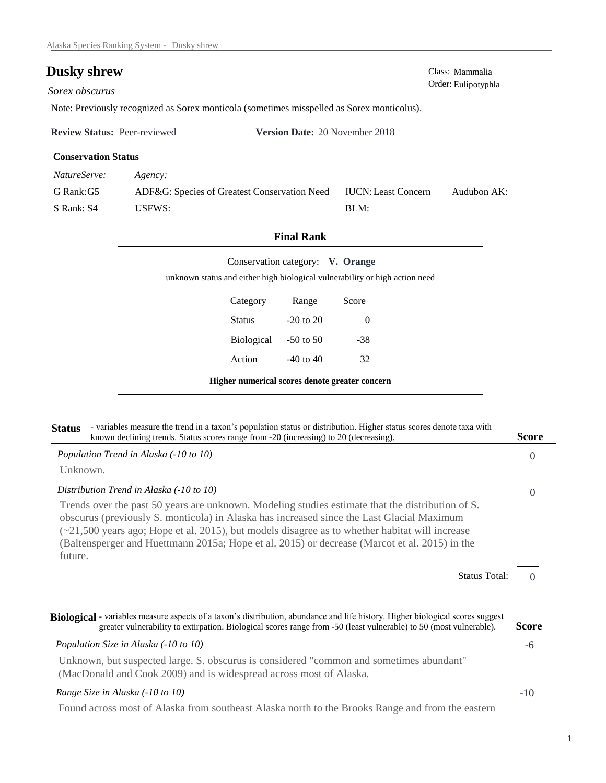## **Dusky shrew** Class: Mammalia Class: Mammalia Order: Eulipotyphla

Sorex obscurus

Note: Previously recognized as Sorex monticola (sometimes misspelled as Sorex monticolus).

| <b>Review Status: Peer-reviewed</b> | <b>Version Date: 20 November 2018</b> |
|-------------------------------------|---------------------------------------|
|                                     |                                       |

## **Conservation Status**

| NatureServe: | Agency:                                      |                            |             |
|--------------|----------------------------------------------|----------------------------|-------------|
| G Rank: G5   | ADF&G: Species of Greatest Conservation Need | <b>IUCN: Least Concern</b> | Audubon AK: |
| S Rank: S4   | USFWS:                                       | $\mathbf{BLM}$ :           |             |

| <b>Final Rank</b>                              |                                  |                                                                             |  |
|------------------------------------------------|----------------------------------|-----------------------------------------------------------------------------|--|
|                                                | Conservation category: V. Orange | unknown status and either high biological vulnerability or high action need |  |
| Category                                       | Range                            | Score                                                                       |  |
| Status                                         | $-20$ to $20$                    | $\Omega$                                                                    |  |
| <b>Biological</b>                              | $-50$ to 50                      | $-38$                                                                       |  |
| Action                                         | $-40$ to $40$                    | 32                                                                          |  |
| Higher numerical scores denote greater concern |                                  |                                                                             |  |

| - variables measure the trend in a taxon's population status or distribution. Higher status scores denote taxa with<br><b>Status</b><br>known declining trends. Status scores range from -20 (increasing) to 20 (decreasing).                                                                                                                                                                                      | <b>Score</b>              |  |
|--------------------------------------------------------------------------------------------------------------------------------------------------------------------------------------------------------------------------------------------------------------------------------------------------------------------------------------------------------------------------------------------------------------------|---------------------------|--|
| Population Trend in Alaska (-10 to 10)                                                                                                                                                                                                                                                                                                                                                                             | $\Omega$                  |  |
| Unknown.                                                                                                                                                                                                                                                                                                                                                                                                           |                           |  |
| Distribution Trend in Alaska (-10 to 10)                                                                                                                                                                                                                                                                                                                                                                           | $\Omega$                  |  |
| Trends over the past 50 years are unknown. Modeling studies estimate that the distribution of S.<br>obscurus (previously S. monticola) in Alaska has increased since the Last Glacial Maximum<br>$(\sim 21,500)$ years ago; Hope et al. 2015), but models disagree as to whether habitat will increase<br>(Baltensperger and Huettmann 2015a; Hope et al. 2015) or decrease (Marcot et al. 2015) in the<br>future. |                           |  |
|                                                                                                                                                                                                                                                                                                                                                                                                                    | <b>Status Total:</b><br>0 |  |
| Biological - variables measure aspects of a taxon's distribution, abundance and life history. Higher biological scores suggest<br>greater vulnerability to extirpation. Biological scores range from -50 (least vulnerable) to 50 (most vulnerable).                                                                                                                                                               | <b>Score</b>              |  |
| Population Size in Alaska (-10 to 10)                                                                                                                                                                                                                                                                                                                                                                              | -6                        |  |
| Unknown, but suspected large. S. obscurus is considered "common and sometimes abundant"<br>(MacDonald and Cook 2009) and is widespread across most of Alaska.                                                                                                                                                                                                                                                      |                           |  |
| Range Size in Alaska (-10 to 10)                                                                                                                                                                                                                                                                                                                                                                                   | $-10$                     |  |
| and the state of the state of the state of the state of the state of the state of the state of the state of the                                                                                                                                                                                                                                                                                                    |                           |  |

Found across most of Alaska from southeast Alaska north to the Brooks Range and from the eastern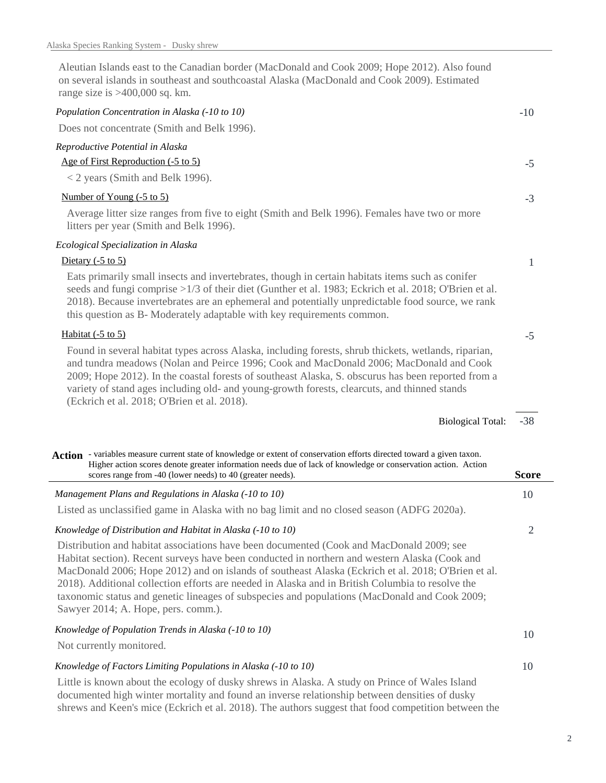Aleutian Islands east to the Canadian border (MacDonald and Cook 2009; Hope 2012). Also found on several islands in southeast and southcoastal Alaska (MacDonald and Cook 2009). Estimated range size is >400,000 sq. km.

| Population Concentration in Alaska (-10 to 10)                                                                                                                                                                                                                                                                                                                                                                                                                                                                                              | $-10$          |
|---------------------------------------------------------------------------------------------------------------------------------------------------------------------------------------------------------------------------------------------------------------------------------------------------------------------------------------------------------------------------------------------------------------------------------------------------------------------------------------------------------------------------------------------|----------------|
| Does not concentrate (Smith and Belk 1996).                                                                                                                                                                                                                                                                                                                                                                                                                                                                                                 |                |
| Reproductive Potential in Alaska                                                                                                                                                                                                                                                                                                                                                                                                                                                                                                            |                |
| Age of First Reproduction (-5 to 5)                                                                                                                                                                                                                                                                                                                                                                                                                                                                                                         | $-5$           |
| < 2 years (Smith and Belk 1996).                                                                                                                                                                                                                                                                                                                                                                                                                                                                                                            |                |
| Number of Young (-5 to 5)                                                                                                                                                                                                                                                                                                                                                                                                                                                                                                                   | $-3$           |
| Average litter size ranges from five to eight (Smith and Belk 1996). Females have two or more<br>litters per year (Smith and Belk 1996).                                                                                                                                                                                                                                                                                                                                                                                                    |                |
| Ecological Specialization in Alaska                                                                                                                                                                                                                                                                                                                                                                                                                                                                                                         |                |
| Dietary $(-5 \text{ to } 5)$                                                                                                                                                                                                                                                                                                                                                                                                                                                                                                                | 1              |
| Eats primarily small insects and invertebrates, though in certain habitats items such as conifer<br>seeds and fungi comprise >1/3 of their diet (Gunther et al. 1983; Eckrich et al. 2018; O'Brien et al.<br>2018). Because invertebrates are an ephemeral and potentially unpredictable food source, we rank<br>this question as B- Moderately adaptable with key requirements common.                                                                                                                                                     |                |
| Habitat $(-5 \text{ to } 5)$                                                                                                                                                                                                                                                                                                                                                                                                                                                                                                                | $-5$           |
| Found in several habitat types across Alaska, including forests, shrub thickets, wetlands, riparian,<br>and tundra meadows (Nolan and Peirce 1996; Cook and MacDonald 2006; MacDonald and Cook<br>2009; Hope 2012). In the coastal forests of southeast Alaska, S. obscurus has been reported from a<br>variety of stand ages including old- and young-growth forests, clearcuts, and thinned stands<br>(Eckrich et al. 2018; O'Brien et al. 2018).                                                                                         |                |
| <b>Biological Total:</b>                                                                                                                                                                                                                                                                                                                                                                                                                                                                                                                    | $-38$          |
| Action - variables measure current state of knowledge or extent of conservation efforts directed toward a given taxon.<br>Higher action scores denote greater information needs due of lack of knowledge or conservation action. Action<br>scores range from -40 (lower needs) to 40 (greater needs).                                                                                                                                                                                                                                       | <b>Score</b>   |
| Management Plans and Regulations in Alaska (-10 to 10)                                                                                                                                                                                                                                                                                                                                                                                                                                                                                      | 10             |
| Listed as unclassified game in Alaska with no bag limit and no closed season (ADFG 2020a).                                                                                                                                                                                                                                                                                                                                                                                                                                                  |                |
| Knowledge of Distribution and Habitat in Alaska (-10 to 10)                                                                                                                                                                                                                                                                                                                                                                                                                                                                                 | $\overline{2}$ |
| Distribution and habitat associations have been documented (Cook and MacDonald 2009; see<br>Habitat section). Recent surveys have been conducted in northern and western Alaska (Cook and<br>MacDonald 2006; Hope 2012) and on islands of southeast Alaska (Eckrich et al. 2018; O'Brien et al.<br>2018). Additional collection efforts are needed in Alaska and in British Columbia to resolve the<br>taxonomic status and genetic lineages of subspecies and populations (MacDonald and Cook 2009;<br>Sawyer 2014; A. Hope, pers. comm.). |                |
| Knowledge of Population Trends in Alaska (-10 to 10)                                                                                                                                                                                                                                                                                                                                                                                                                                                                                        | 10             |
| Not currently monitored.                                                                                                                                                                                                                                                                                                                                                                                                                                                                                                                    |                |
| Knowledge of Factors Limiting Populations in Alaska (-10 to 10)                                                                                                                                                                                                                                                                                                                                                                                                                                                                             | 10             |
| Little is known about the ecology of dusky shrews in Alaska. A study on Prince of Wales Island                                                                                                                                                                                                                                                                                                                                                                                                                                              |                |

Little is known about the ecology of dusky shrews in Alaska. A study on Prince of Wales Island documented high winter mortality and found an inverse relationship between densities of dusky shrews and Keen's mice (Eckrich et al. 2018). The authors suggest that food competition between the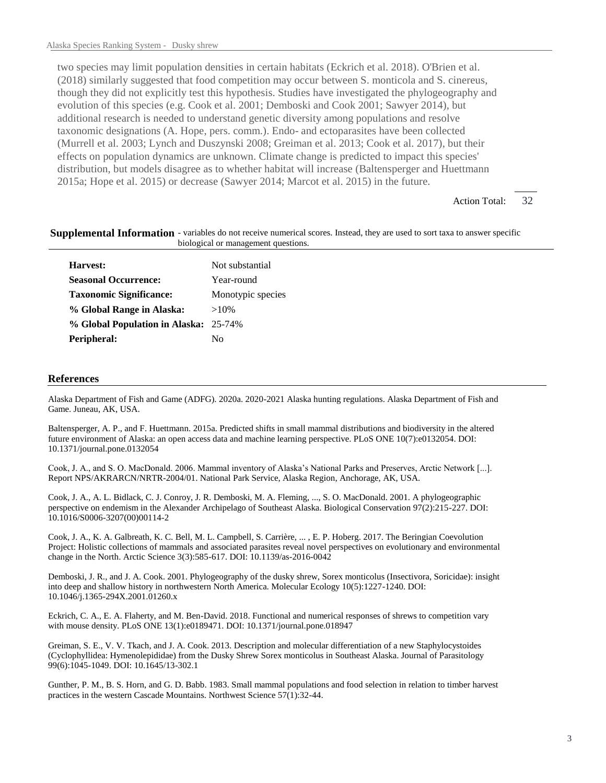two species may limit population densities in certain habitats (Eckrich et al. 2018). O'Brien et al. (2018) similarly suggested that food competition may occur between S. monticola and S. cinereus, though they did not explicitly test this hypothesis. Studies have investigated the phylogeography and evolution of this species (e.g. Cook et al. 2001; Demboski and Cook 2001; Sawyer 2014), but additional research is needed to understand genetic diversity among populations and resolve taxonomic designations (A. Hope, pers. comm.). Endo- and ectoparasites have been collected (Murrell et al. 2003; Lynch and Duszynski 2008; Greiman et al. 2013; Cook et al. 2017), but their effects on population dynamics are unknown. Climate change is predicted to impact this species' distribution, but models disagree as to whether habitat will increase (Baltensperger and Huettmann 2015a; Hope et al. 2015) or decrease (Sawyer 2014; Marcot et al. 2015) in the future.

> 32 Action Total:

Supplemental Information - variables do not receive numerical scores. Instead, they are used to sort taxa to answer specific biological or management questions.

| Harvest:                              | Not substantial   |
|---------------------------------------|-------------------|
| <b>Seasonal Occurrence:</b>           | Year-round        |
| <b>Taxonomic Significance:</b>        | Monotypic species |
| % Global Range in Alaska:             | $>10\%$           |
| % Global Population in Alaska: 25-74% |                   |
| Peripheral:                           | Nο                |
|                                       |                   |

## **References**

Alaska Department of Fish and Game (ADFG). 2020a. 2020-2021 Alaska hunting regulations. Alaska Department of Fish and Game. Juneau, AK, USA.

Baltensperger, A. P., and F. Huettmann. 2015a. Predicted shifts in small mammal distributions and biodiversity in the altered future environment of Alaska: an open access data and machine learning perspective. PLoS ONE 10(7):e0132054. DOI: 10.1371/journal.pone.0132054

Cook, J. A., and S. O. MacDonald. 2006. Mammal inventory of Alaska's National Parks and Preserves, Arctic Network [...]. Report NPS/AKRARCN/NRTR-2004/01. National Park Service, Alaska Region, Anchorage, AK, USA.

Cook, J. A., A. L. Bidlack, C. J. Conroy, J. R. Demboski, M. A. Fleming, ..., S. O. MacDonald. 2001. A phylogeographic perspective on endemism in the Alexander Archipelago of Southeast Alaska. Biological Conservation 97(2):215-227. DOI: 10.1016/S0006-3207(00)00114-2

Cook, J. A., K. A. Galbreath, K. C. Bell, M. L. Campbell, S. Carrière, ... , E. P. Hoberg. 2017. The Beringian Coevolution Project: Holistic collections of mammals and associated parasites reveal novel perspectives on evolutionary and environmental change in the North. Arctic Science 3(3):585-617. DOI: 10.1139/as-2016-0042

Demboski, J. R., and J. A. Cook. 2001. Phylogeography of the dusky shrew, Sorex monticolus (Insectivora, Soricidae): insight into deep and shallow history in northwestern North America. Molecular Ecology 10(5):1227-1240. DOI: 10.1046/j.1365-294X.2001.01260.x

Eckrich, C. A., E. A. Flaherty, and M. Ben-David. 2018. Functional and numerical responses of shrews to competition vary with mouse density. PLoS ONE 13(1):e0189471. DOI: 10.1371/journal.pone.018947

Greiman, S. E., V. V. Tkach, and J. A. Cook. 2013. Description and molecular differentiation of a new Staphylocystoides (Cyclophyllidea: Hymenolepididae) from the Dusky Shrew Sorex monticolus in Southeast Alaska. Journal of Parasitology 99(6):1045-1049. DOI: 10.1645/13-302.1

Gunther, P. M., B. S. Horn, and G. D. Babb. 1983. Small mammal populations and food selection in relation to timber harvest practices in the western Cascade Mountains. Northwest Science  $57(1)$ :32-44.